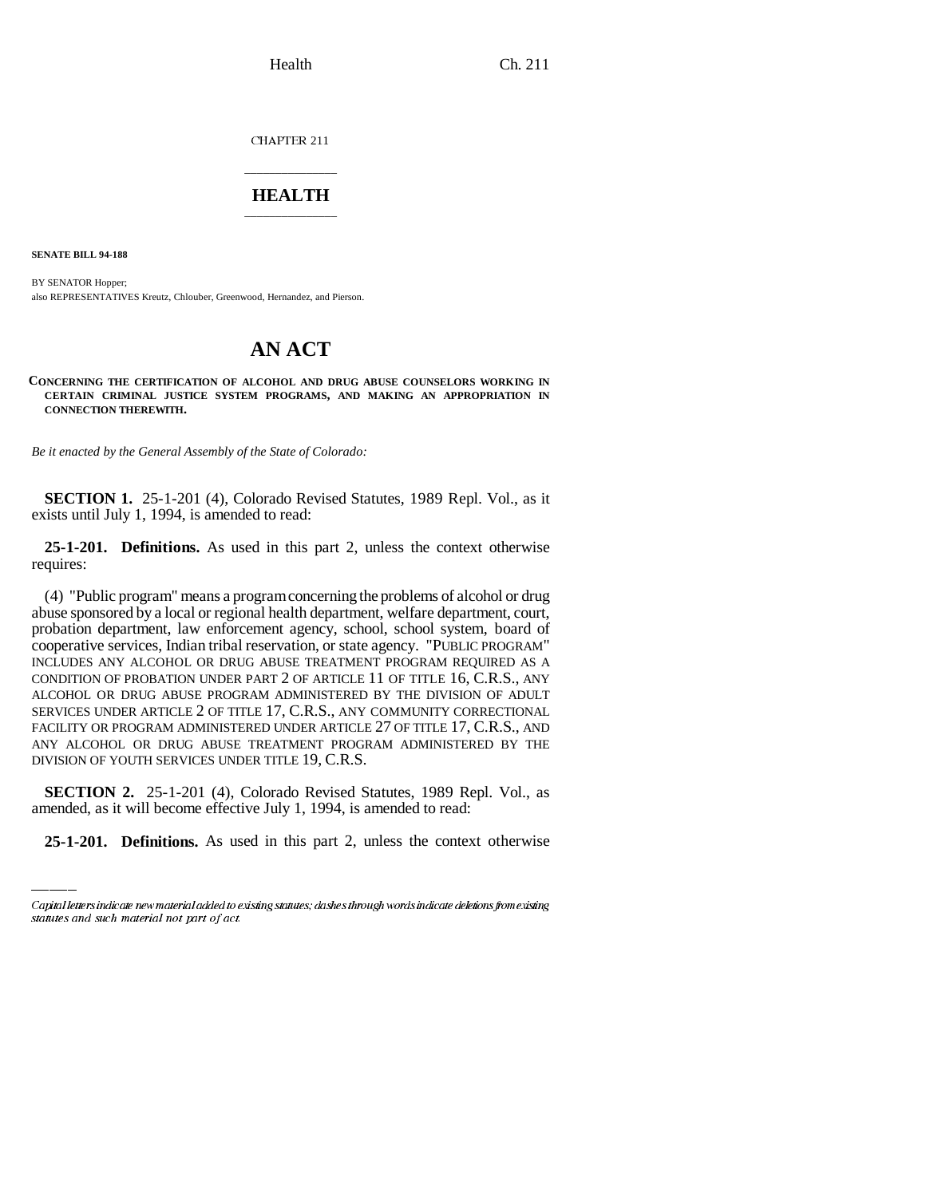CHAPTER 211

## \_\_\_\_\_\_\_\_\_\_\_\_\_\_\_ **HEALTH** \_\_\_\_\_\_\_\_\_\_\_\_\_\_\_

**SENATE BILL 94-188**

BY SENATOR Hopper; also REPRESENTATIVES Kreutz, Chlouber, Greenwood, Hernandez, and Pierson.

## **AN ACT**

**CONCERNING THE CERTIFICATION OF ALCOHOL AND DRUG ABUSE COUNSELORS WORKING IN CERTAIN CRIMINAL JUSTICE SYSTEM PROGRAMS, AND MAKING AN APPROPRIATION IN CONNECTION THEREWITH.**

*Be it enacted by the General Assembly of the State of Colorado:*

**SECTION 1.** 25-1-201 (4), Colorado Revised Statutes, 1989 Repl. Vol., as it exists until July 1, 1994, is amended to read:

**25-1-201. Definitions.** As used in this part 2, unless the context otherwise requires:

(4) "Public program" means a program concerning the problems of alcohol or drug abuse sponsored by a local or regional health department, welfare department, court, probation department, law enforcement agency, school, school system, board of cooperative services, Indian tribal reservation, or state agency. "PUBLIC PROGRAM" INCLUDES ANY ALCOHOL OR DRUG ABUSE TREATMENT PROGRAM REQUIRED AS A CONDITION OF PROBATION UNDER PART 2 OF ARTICLE 11 OF TITLE 16, C.R.S., ANY ALCOHOL OR DRUG ABUSE PROGRAM ADMINISTERED BY THE DIVISION OF ADULT SERVICES UNDER ARTICLE 2 OF TITLE 17, C.R.S., ANY COMMUNITY CORRECTIONAL FACILITY OR PROGRAM ADMINISTERED UNDER ARTICLE 27 OF TITLE 17, C.R.S., AND ANY ALCOHOL OR DRUG ABUSE TREATMENT PROGRAM ADMINISTERED BY THE DIVISION OF YOUTH SERVICES UNDER TITLE 19, C.R.S.

**SECTION 2.** 25-1-201 (4), Colorado Revised Statutes, 1989 Repl. Vol., as amended, as it will become effective July 1, 1994, is amended to read:

**25-1-201. Definitions.** As used in this part 2, unless the context otherwise

Capital letters indicate new material added to existing statutes; dashes through words indicate deletions from existing statutes and such material not part of act.